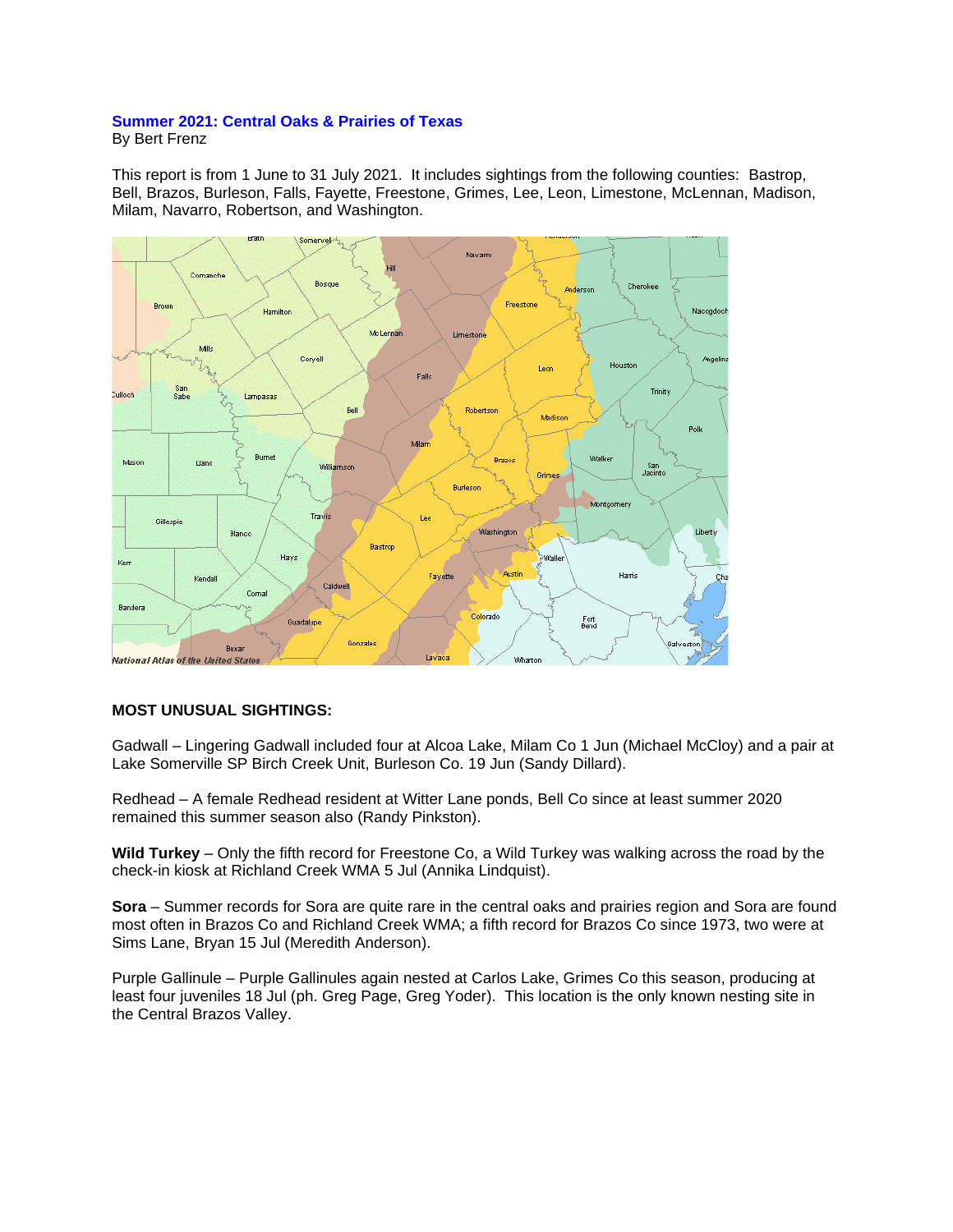## **Summer 2021: Central Oaks & Prairies of Texas** By Bert Frenz

This report is from 1 June to 31 July 2021. It includes sightings from the following counties: Bastrop, Bell, Brazos, Burleson, Falls, Fayette, Freestone, Grimes, Lee, Leon, Limestone, McLennan, Madison, Milam, Navarro, Robertson, and Washington.



## **MOST UNUSUAL SIGHTINGS:**

Gadwall – Lingering Gadwall included four at Alcoa Lake, Milam Co 1 Jun (Michael McCloy) and a pair at Lake Somerville SP Birch Creek Unit, Burleson Co. 19 Jun (Sandy Dillard).

Redhead – A female Redhead resident at Witter Lane ponds, Bell Co since at least summer 2020 remained this summer season also (Randy Pinkston).

**Wild Turkey** – Only the fifth record for Freestone Co, a Wild Turkey was walking across the road by the check-in kiosk at Richland Creek WMA 5 Jul (Annika Lindquist).

**Sora** – Summer records for Sora are quite rare in the central oaks and prairies region and Sora are found most often in Brazos Co and Richland Creek WMA; a fifth record for Brazos Co since 1973, two were at Sims Lane, Bryan 15 Jul (Meredith Anderson).

Purple Gallinule – Purple Gallinules again nested at Carlos Lake, Grimes Co this season, producing at least four juveniles 18 Jul (ph. Greg Page, Greg Yoder). This location is the only known nesting site in the Central Brazos Valley.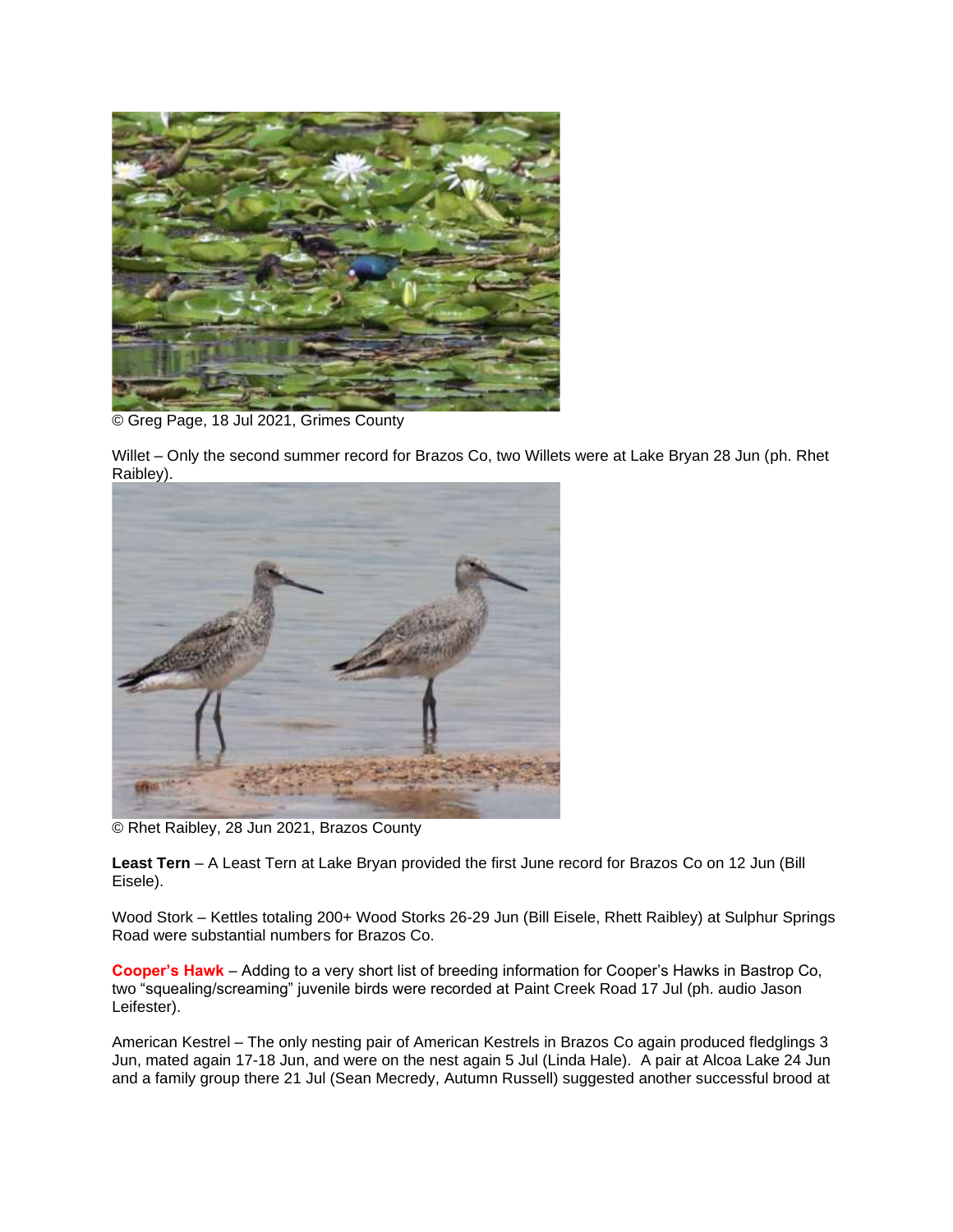

© Greg Page, 18 Jul 2021, Grimes County

Willet – Only the second summer record for Brazos Co, two Willets were at Lake Bryan 28 Jun (ph. Rhet Raibley).



© Rhet Raibley, 28 Jun 2021, Brazos County

**Least Tern** – A Least Tern at Lake Bryan provided the first June record for Brazos Co on 12 Jun (Bill Eisele).

Wood Stork – Kettles totaling 200+ Wood Storks 26-29 Jun (Bill Eisele, Rhett Raibley) at Sulphur Springs Road were substantial numbers for Brazos Co.

**Cooper's Hawk** – Adding to a very short list of breeding information for Cooper's Hawks in Bastrop Co, two "squealing/screaming" juvenile birds were recorded at Paint Creek Road 17 Jul (ph. audio Jason Leifester).

American Kestrel – The only nesting pair of American Kestrels in Brazos Co again produced fledglings 3 Jun, mated again 17-18 Jun, and were on the nest again 5 Jul (Linda Hale). A pair at Alcoa Lake 24 Jun and a family group there 21 Jul (Sean Mecredy, Autumn Russell) suggested another successful brood at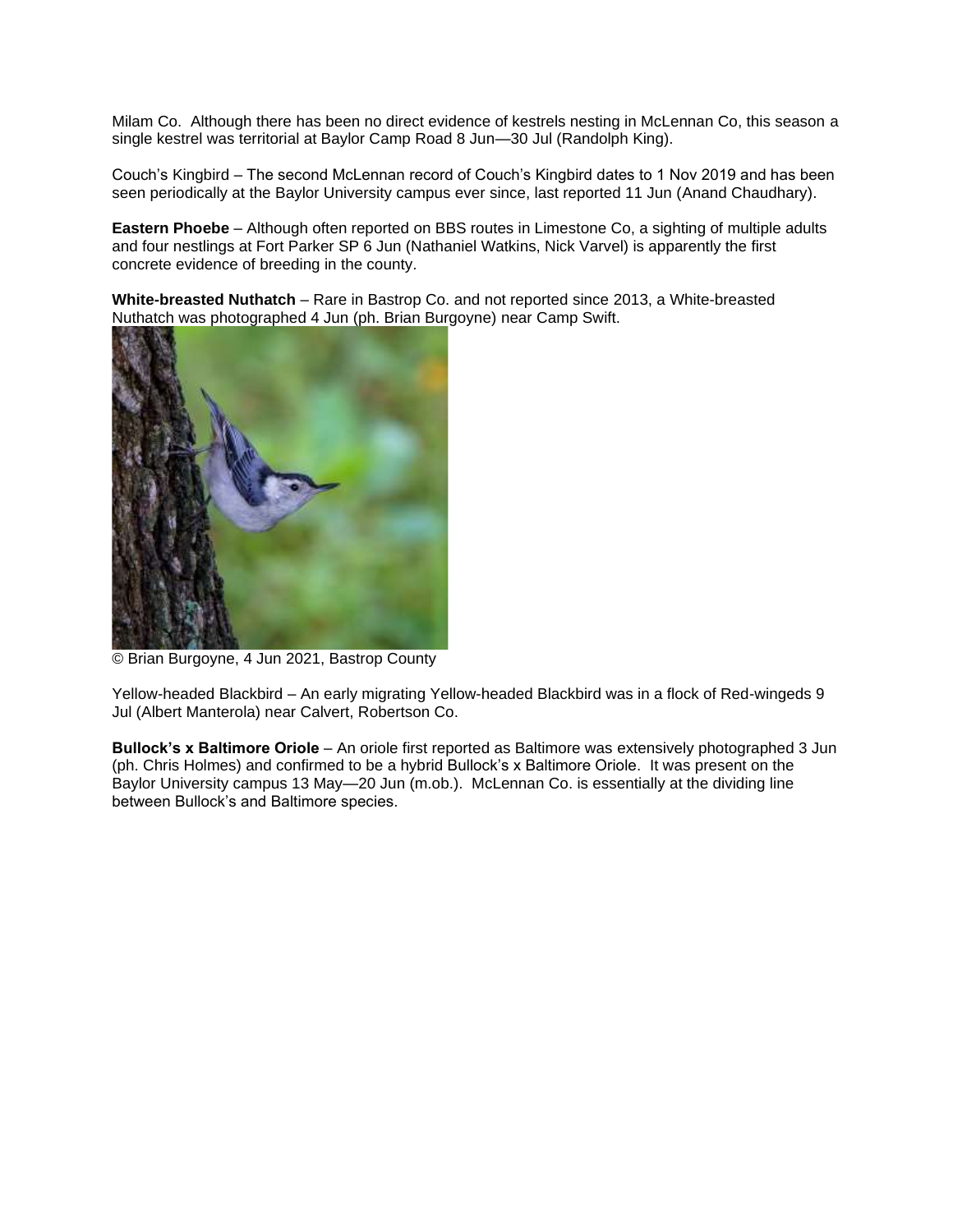Milam Co. Although there has been no direct evidence of kestrels nesting in McLennan Co, this season a single kestrel was territorial at Baylor Camp Road 8 Jun—30 Jul (Randolph King).

Couch's Kingbird – The second McLennan record of Couch's Kingbird dates to 1 Nov 2019 and has been seen periodically at the Baylor University campus ever since, last reported 11 Jun (Anand Chaudhary).

**Eastern Phoebe** – Although often reported on BBS routes in Limestone Co, a sighting of multiple adults and four nestlings at Fort Parker SP 6 Jun (Nathaniel Watkins, Nick Varvel) is apparently the first concrete evidence of breeding in the county.

**White-breasted Nuthatch** – Rare in Bastrop Co. and not reported since 2013, a White-breasted Nuthatch was photographed 4 Jun (ph. Brian Burgoyne) near Camp Swift.



© Brian Burgoyne, 4 Jun 2021, Bastrop County

Yellow-headed Blackbird – An early migrating Yellow-headed Blackbird was in a flock of Red-wingeds 9 Jul (Albert Manterola) near Calvert, Robertson Co.

**Bullock's x Baltimore Oriole** – An oriole first reported as Baltimore was extensively photographed 3 Jun (ph. Chris Holmes) and confirmed to be a hybrid Bullock's x Baltimore Oriole. It was present on the Baylor University campus 13 May—20 Jun (m.ob.). McLennan Co. is essentially at the dividing line between Bullock's and Baltimore species.